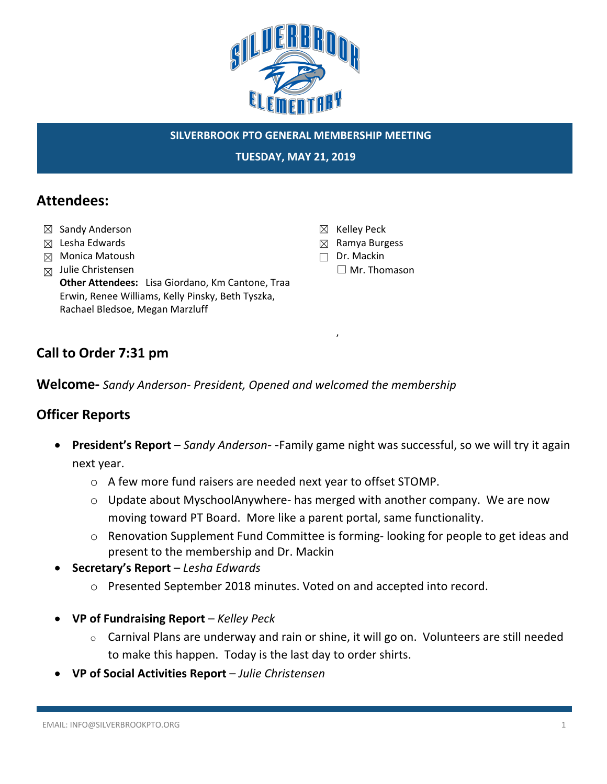

#### **SILVERBROOK PTO GENERAL MEMBERSHIP MEETING**

☒ Kelley Peck ☒ Ramya Burgess ☐ Dr. Mackin

,

☐ Mr. Thomason

**TUESDAY, MAY 21, 2019**

## **Attendees:**

- ☒ Sandy Anderson
- ☒ Lesha Edwards
- ☒ Monica Matoush
- $\boxtimes$  Julie Christensen

**Other Attendees:** Lisa Giordano, Km Cantone, Traa Erwin, Renee Williams, Kelly Pinsky, Beth Tyszka, Rachael Bledsoe, Megan Marzluff

## **Call to Order 7:31 pm**

**Welcome-** *Sandy Anderson- President, Opened and welcomed the membership*

## **Officer Reports**

- **President's Report**  *Sandy Anderson-* -Family game night was successful, so we will try it again next year.
	- o A few more fund raisers are needed next year to offset STOMP.
	- o Update about MyschoolAnywhere- has merged with another company. We are now moving toward PT Board. More like a parent portal, same functionality.
	- o Renovation Supplement Fund Committee is forming- looking for people to get ideas and present to the membership and Dr. Mackin
- **Secretary's Report**  *Lesha Edwards*
	- o Presented September 2018 minutes. Voted on and accepted into record.
- **VP of Fundraising Report**  *Kelley Peck*
	- o Carnival Plans are underway and rain or shine, it will go on. Volunteers are still needed to make this happen. Today is the last day to order shirts.
- **VP of Social Activities Report** *Julie Christensen*